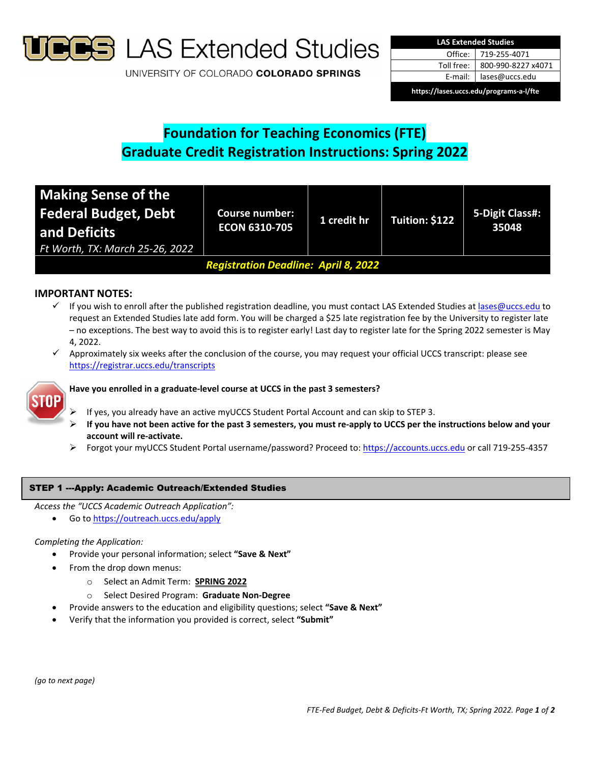

**S** LAS Extended Studies

UNIVERSITY OF COLORADO COLORADO SPRINGS

| <b>LAS Extended Studies</b>             |                    |  |  |  |
|-----------------------------------------|--------------------|--|--|--|
| Office:                                 | 719-255-4071       |  |  |  |
| Toll free:                              | 800-990-8227 x4071 |  |  |  |
| E-mail: I                               | lases@uccs.edu     |  |  |  |
| https://lases.uccs.edu/programs-a-l/fte |                    |  |  |  |

# **Foundation for Teaching Economics (FTE) Graduate Credit Registration Instructions: Spring 2022**

| <b>Making Sense of the</b><br><b>Federal Budget, Debt</b><br>and Deficits<br>Ft Worth, TX: March 25-26, 2022 | <b>Course number:</b><br><b>ECON 6310-705</b> | 1 credit hr | Tuition: \$122 | 5-Digit Class#:<br>35048 |  |
|--------------------------------------------------------------------------------------------------------------|-----------------------------------------------|-------------|----------------|--------------------------|--|
| <b>Registration Deadline: April 8, 2022</b>                                                                  |                                               |             |                |                          |  |

# **IMPORTANT NOTES:**

- If you wish to enroll after the published registration deadline, you must contact LAS Extended Studies at lases@uccs.edu to request an Extended Studies late add form. You will be charged a \$25 late registration fee by the University to register late – no exceptions. The best way to avoid this is to register early! Last day to register late for the Spring 2022 semester is May 4, 2022.
- Approximately six weeks after the conclusion of the course, you may request your official UCCS transcript: please see https://registrar.uccs.edu/transcripts



# **Have you enrolled in a graduate‐level course at UCCS in the past 3 semesters?**

- If yes, you already have an active myUCCS Student Portal Account and can skip to STEP 3.
- If you have not been active for the past 3 semesters, you must re-apply to UCCS per the instructions below and your **account will re‐activate.**
- Forgot your myUCCS Student Portal username/password? Proceed to: https://accounts.uccs.edu or call 719-255-4357

## STEP 1 ---Apply: Academic Outreach/Extended Studies

- *Access the "UCCS Academic Outreach Application":*
	- Go to https://outreach.uccs.edu/apply

## *Completing the Application:*

- Provide your personal information; select **"Save & Next"**
	- From the drop down menus:
		- o Select an Admit Term: **SPRING 2022**
		- o Select Desired Program: **Graduate Non‐Degree**
- Provide answers to the education and eligibility questions; select **"Save & Next"**
- Verify that the information you provided is correct, select **"Submit"**

*(go to next page)*